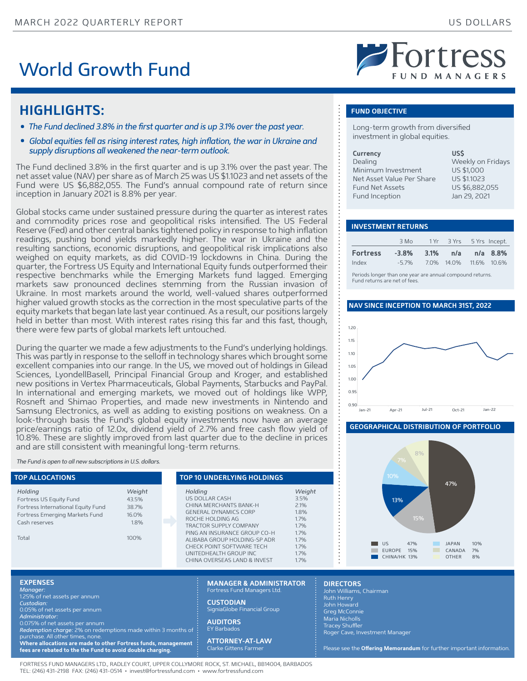## World Growth Fund

# Fortress

### **HIGHLIGHTS:**

- The Fund declined 3.8% in the first quarter and is up 3.1% over the past year.
- *Global equities fell as rising interest rates, high inflation, the war in Ukraine and supply disruptions all weakened the near-term outlook.*

The Fund declined 3.8% in the first quarter and is up 3.1% over the past year. The net asset value (NAV) per share as of March 25 was US \$1.1023 and net assets of the Fund were US \$6,882,055. The Fund's annual compound rate of return since inception in January 2021 is 8.8% per year.

Global stocks came under sustained pressure during the quarter as interest rates and commodity prices rose and geopolitical risks intensified. The US Federal Reserve (Fed) and other central banks tightened policy in response to high inflation readings, pushing bond yields markedly higher. The war in Ukraine and the resulting sanctions, economic disruptions, and geopolitical risk implications also weighed on equity markets, as did COVID-19 lockdowns in China. During the quarter, the Fortress US Equity and International Equity funds outperformed their respective benchmarks while the Emerging Markets fund lagged. Emerging markets saw pronounced declines stemming from the Russian invasion of Ukraine. In most markets around the world, well-valued shares outperformed higher valued growth stocks as the correction in the most speculative parts of the equity markets that began late last year continued. As a result, our positions largely held in better than most. With interest rates rising this far and this fast, though, there were few parts of global markets left untouched.

During the quarter we made a few adjustments to the Fund's underlying holdings. This was partly in response to the selloff in technology shares which brought some excellent companies into our range. In the US, we moved out of holdings in Gilead Sciences, LyondellBasell, Principal Financial Group and Kroger, and established new positions in Vertex Pharmaceuticals, Global Payments, Starbucks and PayPal. In international and emerging markets, we moved out of holdings like WPP, Rosneft and Shimao Properties, and made new investments in Nintendo and Samsung Electronics, as well as adding to existing positions on weakness. On a look-through basis the Fund's global equity investments now have an average price/earnings ratio of 12.0x, dividend yield of 2.7% and free cash flow yield of 10.8%. These are slightly improved from last quarter due to the decline in prices and are still consistent with meaningful long-term returns.

*The Fund is open to all new subscriptions in U.S. dollars.*

| <b>TOP ALLOCATIONS</b>                                                                                                      |                                           | <b>TOP 10 UNDERLYING HOLDINGS</b>                                                                                                                                        |                                                        |
|-----------------------------------------------------------------------------------------------------------------------------|-------------------------------------------|--------------------------------------------------------------------------------------------------------------------------------------------------------------------------|--------------------------------------------------------|
| Holding<br>Fortress US Equity Fund<br>Fortress International Equity Fund<br>Fortress Emerging Markets Fund<br>Cash reserves | Weight<br>43.5%<br>38.7%<br>16.0%<br>1.8% | Holding<br>US DOLLAR CASH<br>CHINA MERCHANTS BANK-H<br><b>GENERAL DYNAMICS CORP</b><br>ROCHE HOLDING AG<br><b>TRACTOR SUPPLY COMPANY</b><br>PING AN INSURANCE GROUP CO-H | Weight<br>3.5%<br>2.1%<br>1.8%<br>1.7%<br>1.7%<br>1.7% |
| Total                                                                                                                       | 100%                                      | ALIBABA GROUP HOLDING-SP ADR<br>CHECK POINT SOFTWARE TECH<br>UNITEDHEALTH GROUP INC.<br>CHINA OVERSEAS LAND & INVEST                                                     | 1.7%<br>1.7%<br>1.7%<br>1.7%                           |

### **FUND OBJECTIVE**

Long-term growth from diversified investment in global equities.

| <b>Currency</b>           | US\$               |
|---------------------------|--------------------|
| Dealing                   | Weekly on Fridays  |
| Minimum Investment        | US \$1,000         |
| Net Asset Value Per Share | <b>US \$1.1023</b> |
| <b>Fund Net Assets</b>    | US \$6,882,055     |
| Fund Inception            | Jan 29, 2021       |

### **INVESTMENT RETURNS**

|  | -3.8% 3.1% n/a n/a 8.8%<br>7.0% 14.0% 11.6% 10.6% |
|--|---------------------------------------------------|

Periods longer than one year are annual compound returns. Fund returns are net of fees.

### **NAV SINCE INCEPTION TO MARCH 31ST, 2022**



### **GEOGRAPHICAL DISTRIBUTION OF PORTFOLIO**



### **EXPENSES**

*Manager:* 1.25% of net assets per annum

*Custodian:*

*Administrator:* 

*Redemption charge:* 2% on redemptions made within 3 months of

**Where allocations are made to other Fortress funds, management** 

FORTRESS FUND MANAGERS LTD., RADLEY COURT, UPPER COLLYMORE ROCK, ST. MICHAEL, BB14004, BARBADOS TEL: (246) 431-2198 FAX: (246) 431-0514 • invest@fortressfund.com • www.fortressfund.com

**MANAGER & ADMINISTRATOR** Fortress Fund Managers Ltd

**CUSTODIAN** SigniaGlobe Financial Group

**AUDITORS** EY Barbados

**ATTORNEY-AT-LAW**

### **DIRECTORS**

John Williams, Chairman John Howard Greg McConnie Maria Nicholls **Tracey Shuffler** Roger Cave, Investment Manager

Please see the Offering Memorandum for further important information.